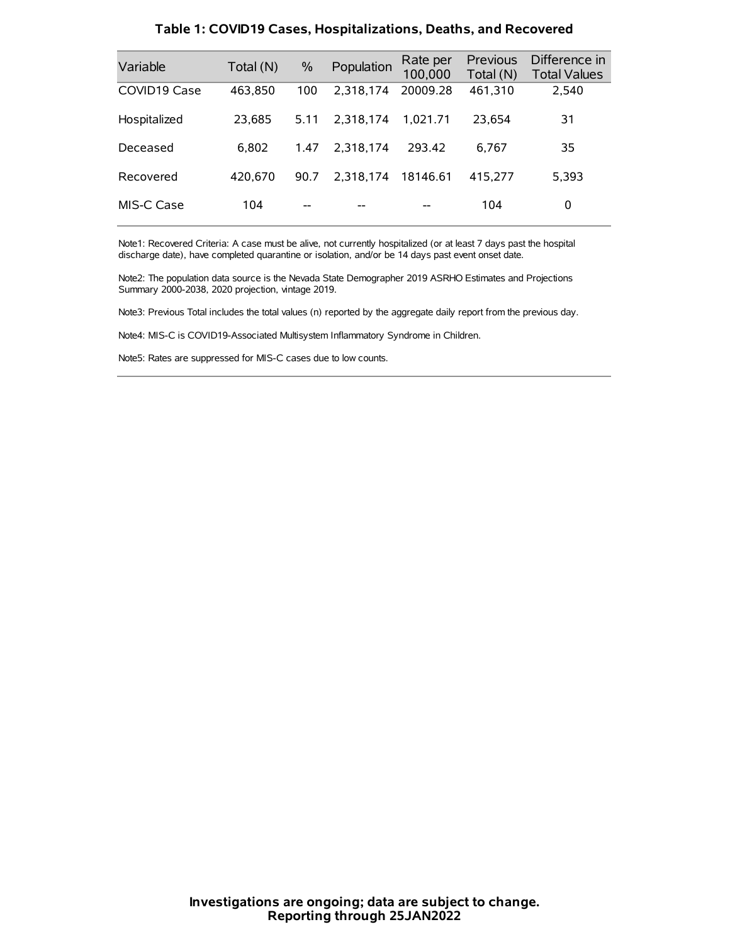| Variable     | Total (N) | $\frac{0}{0}$ | Population | Rate per<br>100,000 | <b>Previous</b><br>Total (N) | Difference in<br><b>Total Values</b> |
|--------------|-----------|---------------|------------|---------------------|------------------------------|--------------------------------------|
| COVID19 Case | 463,850   | 100           | 2.318.174  | 20009.28            | 461,310                      | 2,540                                |
| Hospitalized | 23,685    | 5.11          | 2.318.174  | 1.021.71            | 23.654                       | 31                                   |
| Deceased     | 6.802     | 1.47          | 2.318.174  | 293.42              | 6.767                        | 35                                   |
| Recovered    | 420.670   | 90.7          | 2.318.174  | 18146.61            | 415,277                      | 5,393                                |
| MIS-C Case   | 104       | --            |            |                     | 104                          | 0                                    |

#### **Table 1: COVID19 Cases, Hospitalizations, Deaths, and Recovered**

Note1: Recovered Criteria: A case must be alive, not currently hospitalized (or at least 7 days past the hospital discharge date), have completed quarantine or isolation, and/or be 14 days past event onset date.

Note2: The population data source is the Nevada State Demographer 2019 ASRHO Estimates and Projections Summary 2000-2038, 2020 projection, vintage 2019.

Note3: Previous Total includes the total values (n) reported by the aggregate daily report from the previous day.

Note4: MIS-C is COVID19-Associated Multisystem Inflammatory Syndrome in Children.

Note5: Rates are suppressed for MIS-C cases due to low counts.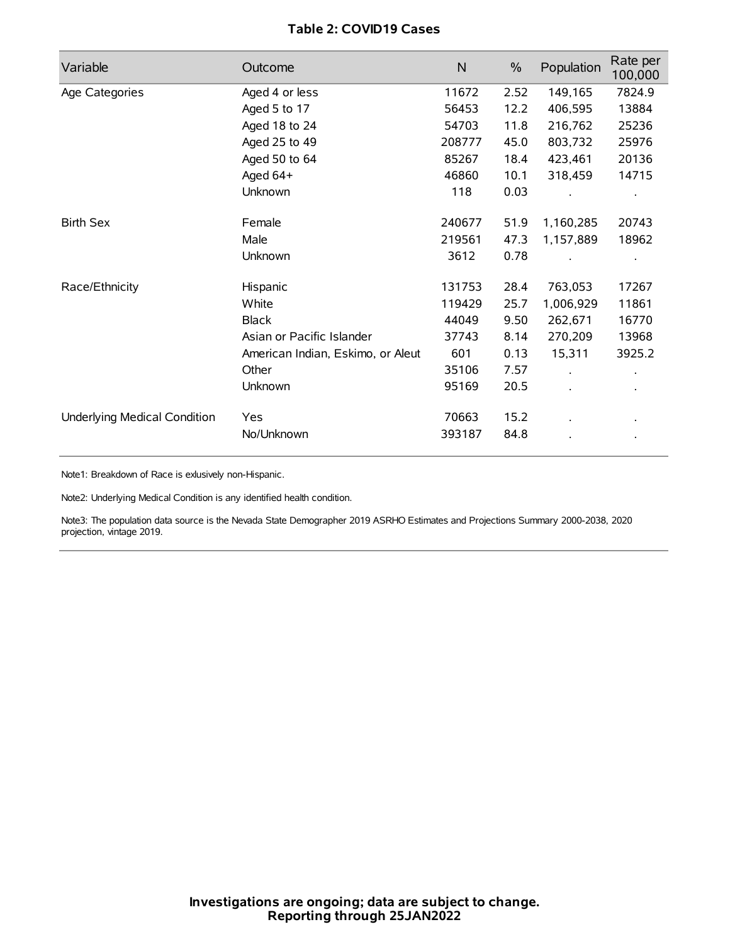# **Table 2: COVID19 Cases**

| Variable                     | Outcome                           | $\mathsf{N}$ | $\%$ | Population           | Rate per<br>100,000 |
|------------------------------|-----------------------------------|--------------|------|----------------------|---------------------|
| Age Categories               | Aged 4 or less                    | 11672        | 2.52 | 149,165              | 7824.9              |
|                              | Aged 5 to 17                      | 56453        | 12.2 | 406,595              | 13884               |
|                              | Aged 18 to 24                     | 54703        | 11.8 | 216,762              | 25236               |
|                              | Aged 25 to 49                     | 208777       | 45.0 | 803,732              | 25976               |
|                              | Aged 50 to 64                     | 85267        | 18.4 | 423,461              | 20136               |
|                              | Aged 64+                          | 46860        | 10.1 | 318,459              | 14715               |
|                              | Unknown                           | 118          | 0.03 |                      |                     |
| <b>Birth Sex</b>             | Female                            | 240677       | 51.9 | 1,160,285            | 20743               |
|                              | Male                              | 219561       | 47.3 | 1,157,889            | 18962               |
|                              | Unknown                           | 3612         | 0.78 |                      |                     |
| Race/Ethnicity               | Hispanic                          | 131753       | 28.4 | 763,053              | 17267               |
|                              | White                             | 119429       | 25.7 | 1,006,929            | 11861               |
|                              | <b>Black</b>                      | 44049        | 9.50 | 262,671              | 16770               |
|                              | Asian or Pacific Islander         | 37743        | 8.14 | 270,209              | 13968               |
|                              | American Indian, Eskimo, or Aleut | 601          | 0.13 | 15,311               | 3925.2              |
|                              | Other                             | 35106        | 7.57 | $\ddot{\phantom{a}}$ |                     |
|                              | Unknown                           | 95169        | 20.5 | ÷.                   |                     |
| Underlying Medical Condition | Yes                               | 70663        | 15.2 |                      |                     |
|                              | No/Unknown                        | 393187       | 84.8 |                      |                     |

Note1: Breakdown of Race is exlusively non-Hispanic.

Note2: Underlying Medical Condition is any identified health condition.

Note3: The population data source is the Nevada State Demographer 2019 ASRHO Estimates and Projections Summary 2000-2038, 2020 projection, vintage 2019.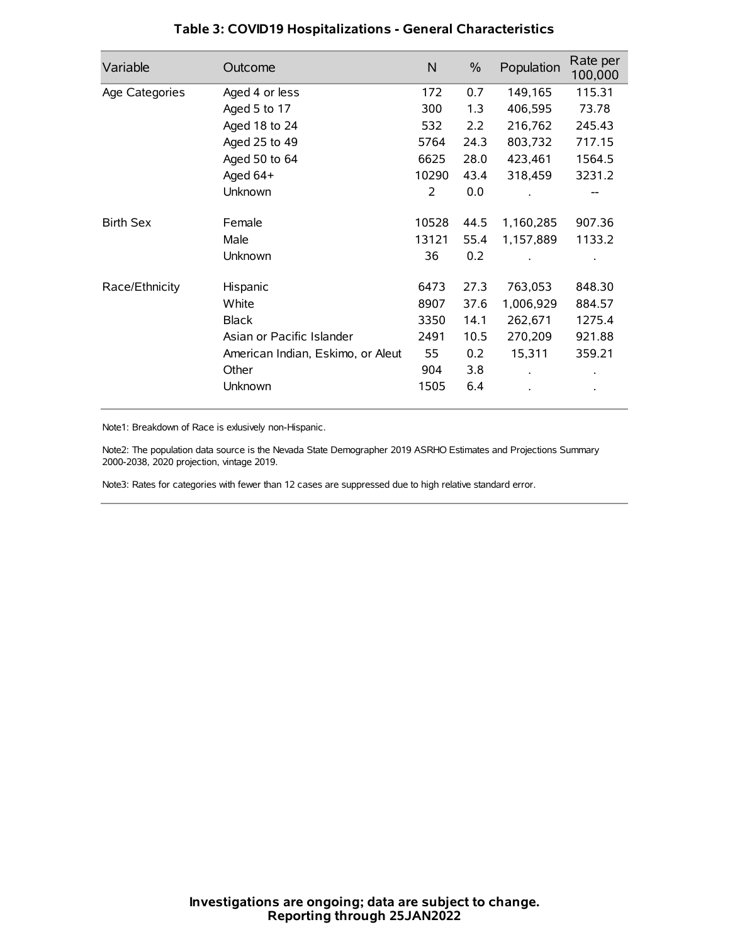| Variable         | Outcome                           | N     | $\%$ | Population | Rate per<br>100,000 |
|------------------|-----------------------------------|-------|------|------------|---------------------|
| Age Categories   | Aged 4 or less                    | 172   | 0.7  | 149,165    | 115.31              |
|                  | Aged 5 to 17                      | 300   | 1.3  | 406,595    | 73.78               |
|                  | Aged 18 to 24                     | 532   | 2.2  | 216,762    | 245.43              |
|                  | Aged 25 to 49                     | 5764  | 24.3 | 803,732    | 717.15              |
|                  | Aged 50 to 64                     | 6625  | 28.0 | 423,461    | 1564.5              |
|                  | Aged 64+                          | 10290 | 43.4 | 318,459    | 3231.2              |
|                  | Unknown                           | 2     | 0.0  |            |                     |
| <b>Birth Sex</b> | Female                            | 10528 | 44.5 | 1,160,285  | 907.36              |
|                  | Male                              | 13121 | 55.4 | 1,157,889  | 1133.2              |
|                  | Unknown                           | 36    | 0.2  |            |                     |
| Race/Ethnicity   | Hispanic                          | 6473  | 27.3 | 763,053    | 848.30              |
|                  | White                             | 8907  | 37.6 | 1,006,929  | 884.57              |
|                  | <b>Black</b>                      | 3350  | 14.1 | 262,671    | 1275.4              |
|                  | Asian or Pacific Islander         | 2491  | 10.5 | 270,209    | 921.88              |
|                  | American Indian, Eskimo, or Aleut | 55    | 0.2  | 15,311     | 359.21              |
|                  | Other                             | 904   | 3.8  |            |                     |
|                  | Unknown                           | 1505  | 6.4  |            |                     |

## **Table 3: COVID19 Hospitalizations - General Characteristics**

Note1: Breakdown of Race is exlusively non-Hispanic.

Note2: The population data source is the Nevada State Demographer 2019 ASRHO Estimates and Projections Summary 2000-2038, 2020 projection, vintage 2019.

Note3: Rates for categories with fewer than 12 cases are suppressed due to high relative standard error.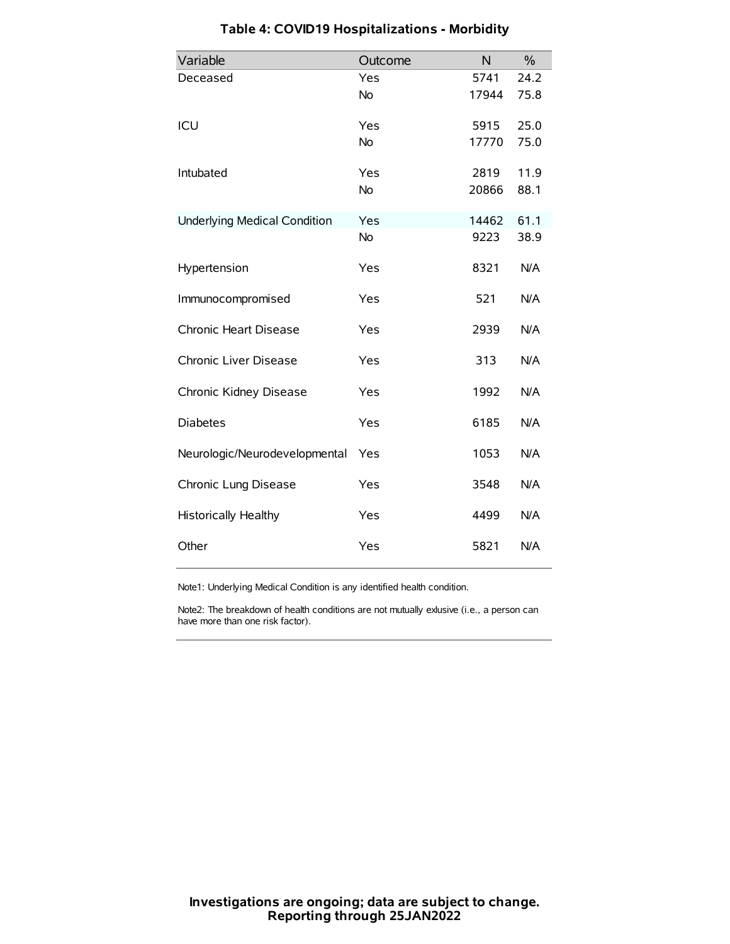| Variable                            | Outcome   | N     | $\%$ |
|-------------------------------------|-----------|-------|------|
| Deceased                            | Yes       | 5741  | 24.2 |
|                                     | <b>No</b> | 17944 | 75.8 |
| ICU                                 | Yes       | 5915  | 25.0 |
|                                     | <b>No</b> | 17770 | 75.0 |
| Intubated                           | Yes       | 2819  | 11.9 |
|                                     | <b>No</b> | 20866 | 88.1 |
| <b>Underlying Medical Condition</b> | Yes       | 14462 | 61.1 |
|                                     | No        | 9223  | 38.9 |
| Hypertension                        | Yes       | 8321  | N/A  |
| Immunocompromised                   | Yes       | 521   | N/A  |
| Chronic Heart Disease               | Yes       | 2939  | N/A  |
| Chronic Liver Disease               | Yes       | 313   | N/A  |
| Chronic Kidney Disease              | Yes       | 1992  | N/A  |
| <b>Diabetes</b>                     | Yes       | 6185  | N/A  |
| Neurologic/Neurodevelopmental       | Yes       | 1053  | N/A  |
| Chronic Lung Disease                | Yes       | 3548  | N/A  |
| <b>Historically Healthy</b>         | Yes       | 4499  | N/A  |
| Other                               | Yes       | 5821  | N/A  |

# **Table 4: COVID19 Hospitalizations - Morbidity**

Note1: Underlying Medical Condition is any identified health condition.

Note2: The breakdown of health conditions are not mutually exlusive (i.e., a person can have more than one risk factor).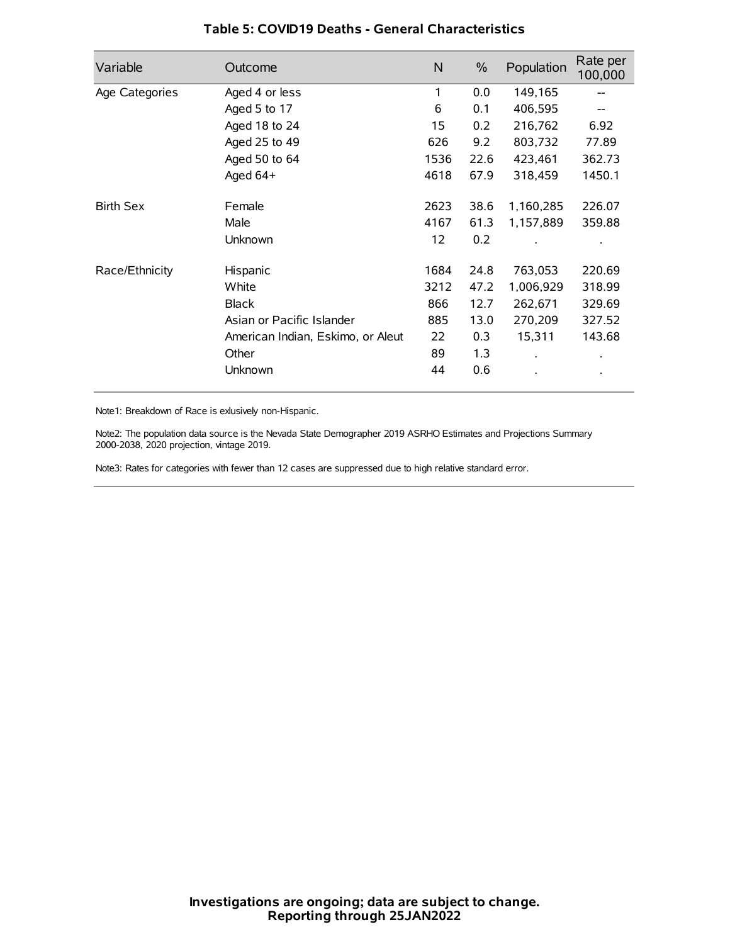| Variable         | Outcome                           | N    | $\frac{0}{0}$ | Population           | Rate per<br>100,000 |
|------------------|-----------------------------------|------|---------------|----------------------|---------------------|
| Age Categories   | Aged 4 or less                    | 1    | 0.0           | 149,165              |                     |
|                  | Aged 5 to 17                      | 6    | 0.1           | 406,595              |                     |
|                  | Aged 18 to 24                     | 15   | 0.2           | 216,762              | 6.92                |
|                  | Aged 25 to 49                     | 626  | 9.2           | 803,732              | 77.89               |
|                  | Aged 50 to 64                     | 1536 | 22.6          | 423,461              | 362.73              |
|                  | Aged 64+                          | 4618 | 67.9          | 318,459              | 1450.1              |
| <b>Birth Sex</b> | Female                            | 2623 | 38.6          | 1,160,285            | 226.07              |
|                  | Male                              | 4167 | 61.3          | 1,157,889            | 359.88              |
|                  | Unknown                           | 12   | 0.2           |                      |                     |
| Race/Ethnicity   | Hispanic                          | 1684 | 24.8          | 763,053              | 220.69              |
|                  | White                             | 3212 | 47.2          | 1,006,929            | 318.99              |
|                  | <b>Black</b>                      | 866  | 12.7          | 262,671              | 329.69              |
|                  | Asian or Pacific Islander         | 885  | 13.0          | 270,209              | 327.52              |
|                  | American Indian, Eskimo, or Aleut | 22   | 0.3           | 15,311               | 143.68              |
|                  | Other                             | 89   | 1.3           | $\ddot{\phantom{a}}$ | $\bullet$           |
|                  | Unknown                           | 44   | 0.6           |                      |                     |

### **Table 5: COVID19 Deaths - General Characteristics**

Note1: Breakdown of Race is exlusively non-Hispanic.

Note2: The population data source is the Nevada State Demographer 2019 ASRHO Estimates and Projections Summary 2000-2038, 2020 projection, vintage 2019.

Note3: Rates for categories with fewer than 12 cases are suppressed due to high relative standard error.